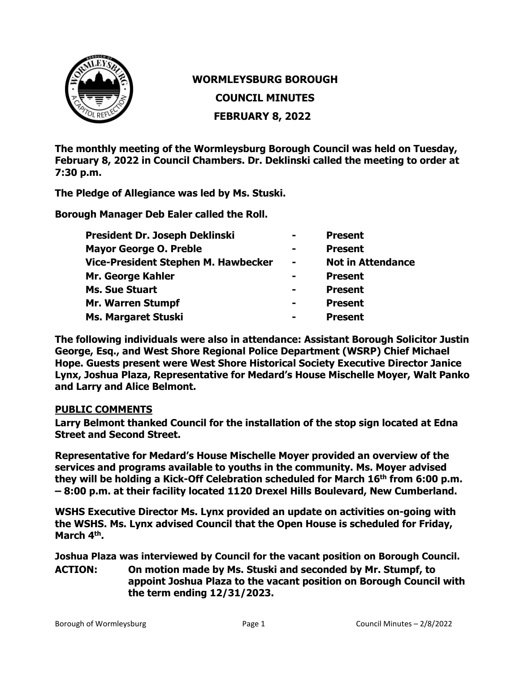

# **WORMLEYSBURG BOROUGH**

**COUNCIL MINUTES**

**FEBRUARY 8, 2022**

**The monthly meeting of the Wormleysburg Borough Council was held on Tuesday, February 8, 2022 in Council Chambers. Dr. Deklinski called the meeting to order at 7:30 p.m.**

**The Pledge of Allegiance was led by Ms. Stuski.**

**Borough Manager Deb Ealer called the Roll.**

| President Dr. Joseph Deklinski      | $\blacksquare$ | <b>Present</b>           |
|-------------------------------------|----------------|--------------------------|
| <b>Mayor George O. Preble</b>       | $\blacksquare$ | <b>Present</b>           |
| Vice-President Stephen M. Hawbecker | $\blacksquare$ | <b>Not in Attendance</b> |
| <b>Mr. George Kahler</b>            | -              | <b>Present</b>           |
| <b>Ms. Sue Stuart</b>               | $\blacksquare$ | <b>Present</b>           |
| <b>Mr. Warren Stumpf</b>            | $\blacksquare$ | <b>Present</b>           |
| <b>Ms. Margaret Stuski</b>          | -              | <b>Present</b>           |

**The following individuals were also in attendance: Assistant Borough Solicitor Justin George, Esq., and West Shore Regional Police Department (WSRP) Chief Michael Hope. Guests present were West Shore Historical Society Executive Director Janice Lynx, Joshua Plaza, Representative for Medard's House Mischelle Moyer, Walt Panko and Larry and Alice Belmont.** 

#### **PUBLIC COMMENTS**

**Larry Belmont thanked Council for the installation of the stop sign located at Edna Street and Second Street.**

**Representative for Medard's House Mischelle Moyer provided an overview of the services and programs available to youths in the community. Ms. Moyer advised they will be holding a Kick-Off Celebration scheduled for March 16th from 6:00 p.m. – 8:00 p.m. at their facility located 1120 Drexel Hills Boulevard, New Cumberland.** 

**WSHS Executive Director Ms. Lynx provided an update on activities on-going with the WSHS. Ms. Lynx advised Council that the Open House is scheduled for Friday, March 4th.** 

**Joshua Plaza was interviewed by Council for the vacant position on Borough Council.**

**ACTION: On motion made by Ms. Stuski and seconded by Mr. Stumpf, to appoint Joshua Plaza to the vacant position on Borough Council with the term ending 12/31/2023.**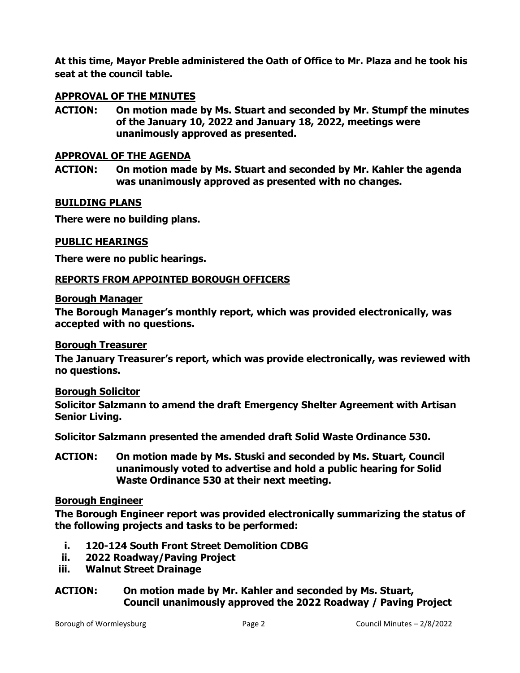**At this time, Mayor Preble administered the Oath of Office to Mr. Plaza and he took his seat at the council table.**

#### **APPROVAL OF THE MINUTES**

**ACTION: On motion made by Ms. Stuart and seconded by Mr. Stumpf the minutes of the January 10, 2022 and January 18, 2022, meetings were unanimously approved as presented.**

#### **APPROVAL OF THE AGENDA**

**ACTION: On motion made by Ms. Stuart and seconded by Mr. Kahler the agenda was unanimously approved as presented with no changes.**

#### **BUILDING PLANS**

**There were no building plans.** 

### **PUBLIC HEARINGS**

**There were no public hearings.**

#### **REPORTS FROM APPOINTED BOROUGH OFFICERS**

#### **Borough Manager**

**The Borough Manager's monthly report, which was provided electronically, was accepted with no questions.**

#### **Borough Treasurer**

**The January Treasurer's report, which was provide electronically, was reviewed with no questions.**

#### **Borough Solicitor**

**Solicitor Salzmann to amend the draft Emergency Shelter Agreement with Artisan Senior Living.**

**Solicitor Salzmann presented the amended draft Solid Waste Ordinance 530.** 

**ACTION: On motion made by Ms. Stuski and seconded by Ms. Stuart, Council unanimously voted to advertise and hold a public hearing for Solid Waste Ordinance 530 at their next meeting.** 

#### **Borough Engineer**

**The Borough Engineer report was provided electronically summarizing the status of the following projects and tasks to be performed:**

- **i. 120-124 South Front Street Demolition CDBG**
- **ii. 2022 Roadway/Paving Project**
- **iii. Walnut Street Drainage**
- **ACTION: On motion made by Mr. Kahler and seconded by Ms. Stuart, Council unanimously approved the 2022 Roadway / Paving Project**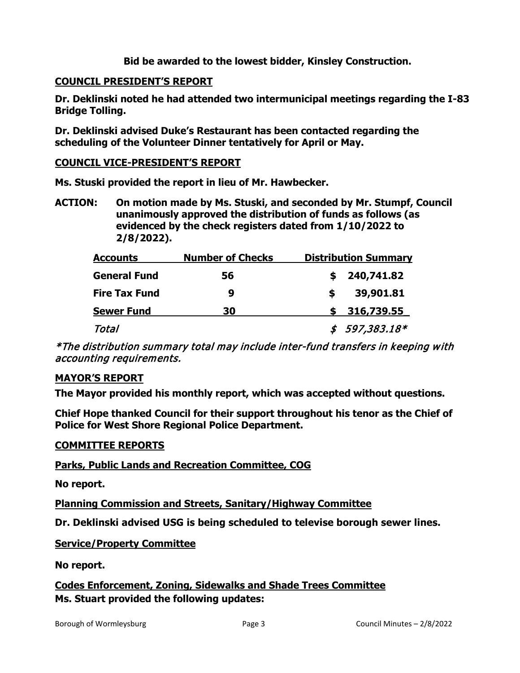### **Bid be awarded to the lowest bidder, Kinsley Construction.**

#### **COUNCIL PRESIDENT'S REPORT**

**Dr. Deklinski noted he had attended two intermunicipal meetings regarding the I-83 Bridge Tolling.** 

**Dr. Deklinski advised Duke's Restaurant has been contacted regarding the scheduling of the Volunteer Dinner tentatively for April or May.**

#### **COUNCIL VICE-PRESIDENT'S REPORT**

**Ms. Stuski provided the report in lieu of Mr. Hawbecker.**

**ACTION: On motion made by Ms. Stuski, and seconded by Mr. Stumpf, Council unanimously approved the distribution of funds as follows (as evidenced by the check registers dated from 1/10/2022 to 2/8/2022).**

| <b>Accounts</b>      | <b>Number of Checks</b> | <b>Distribution Summary</b> |                |  |
|----------------------|-------------------------|-----------------------------|----------------|--|
| <b>General Fund</b>  | 56                      |                             | 240,741.82     |  |
| <b>Fire Tax Fund</b> | 9                       | S                           | 39,901.81      |  |
| <b>Sewer Fund</b>    | 30                      |                             | 316,739.55     |  |
| Total                |                         |                             | $$597,383.18*$ |  |

\*The distribution summary total may include inter-fund transfers in keeping with accounting requirements.

#### **MAYOR'S REPORT**

**The Mayor provided his monthly report, which was accepted without questions.** 

**Chief Hope thanked Council for their support throughout his tenor as the Chief of Police for West Shore Regional Police Department.**

#### **COMMITTEE REPORTS**

**Parks, Public Lands and Recreation Committee, COG**

**No report.**

**Planning Commission and Streets, Sanitary/Highway Committee**

**Dr. Deklinski advised USG is being scheduled to televise borough sewer lines.** 

**Service/Property Committee**

**No report.**

**Codes Enforcement, Zoning, Sidewalks and Shade Trees Committee Ms. Stuart provided the following updates:**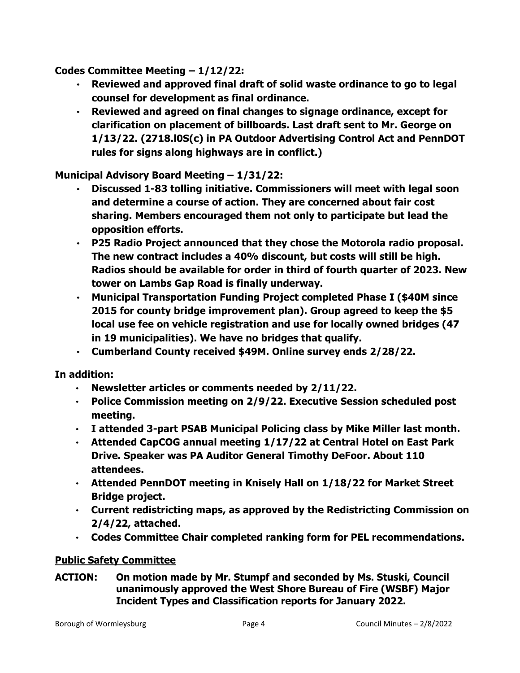**Codes Committee Meeting – 1/12/22:**

- **Reviewed and approved final draft of solid waste ordinance to go to legal counsel for development as final ordinance.**
- **Reviewed and agreed on final changes to signage ordinance, except for clarification on placement of billboards. Last draft sent to Mr. George on 1/13/22. (2718.l0S(c) in PA Outdoor Advertising Control Act and PennDOT rules for signs along highways are in conflict.)**

## **Municipal Advisory Board Meeting – 1/31/22:**

- **Discussed 1-83 tolling initiative. Commissioners will meet with legal soon and determine a course of action. They are concerned about fair cost sharing. Members encouraged them not only to participate but lead the opposition efforts.**
- **P25 Radio Project announced that they chose the Motorola radio proposal. The new contract includes a 40% discount, but costs will still be high. Radios should be available for order in third of fourth quarter of 2023. New tower on Lambs Gap Road is finally underway.**
- **Municipal Transportation Funding Project completed Phase I (\$40M since 2015 for county bridge improvement plan). Group agreed to keep the \$5 local use fee on vehicle registration and use for locally owned bridges (47 in 19 municipalities). We have no bridges that qualify.**
- **Cumberland County received \$49M. Online survey ends 2/28/22.**

**In addition:**

- **Newsletter articles or comments needed by 2/11/22.**
- **Police Commission meeting on 2/9/22. Executive Session scheduled post meeting.**
- **I attended 3-part PSAB Municipal Policing class by Mike Miller last month.**
- **Attended CapCOG annual meeting 1/17/22 at Central Hotel on East Park Drive. Speaker was PA Auditor General Timothy DeFoor. About 110 attendees.**
- **Attended PennDOT meeting in Knisely Hall on 1/18/22 for Market Street Bridge project.**
- **Current redistricting maps, as approved by the Redistricting Commission on 2/4/22, attached.**
- **Codes Committee Chair completed ranking form for PEL recommendations.**

## **Public Safety Committee**

**ACTION: On motion made by Mr. Stumpf and seconded by Ms. Stuski, Council unanimously approved the West Shore Bureau of Fire (WSBF) Major Incident Types and Classification reports for January 2022.**